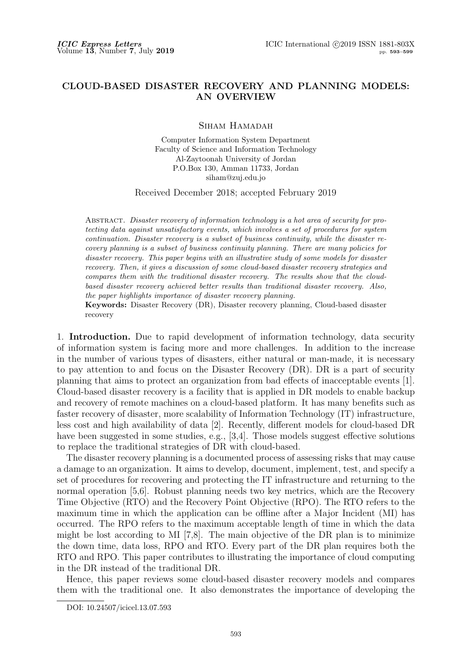## **CLOUD-BASED DISASTER RECOVERY AND PLANNING MODELS: AN OVERVIEW**

Siham Hamadah

Computer Information System Department Faculty of Science and Information Technology Al-Zaytoonah University of Jordan P.O.Box 130, Amman 11733, Jordan siham@zuj.edu.jo

Received December 2018; accepted February 2019

Abstract. *Disaster recovery of information technology is a hot area of security for protecting data against unsatisfactory events, which involves a set of procedures for system continuation. Disaster recovery is a subset of business continuity, while the disaster recovery planning is a subset of business continuity planning. There are many policies for disaster recovery. This paper begins with an illustrative study of some models for disaster recovery. Then, it gives a discussion of some cloud-based disaster recovery strategies and compares them with the traditional disaster recovery. The results show that the cloudbased disaster recovery achieved better results than traditional disaster recovery. Also, the paper highlights importance of disaster recovery planning.*

**Keywords:** Disaster Recovery (DR), Disaster recovery planning, Cloud-based disaster recovery

1. **Introduction.** Due to rapid development of information technology, data security of information system is facing more and more challenges. In addition to the increase in the number of various types of disasters, either natural or man-made, it is necessary to pay attention to and focus on the Disaster Recovery (DR). DR is a part of security planning that aims to protect an organization from bad effects of inacceptable events [1]. Cloud-based disaster recovery is a facility that is applied in DR models to enable backup and recovery of remote machines on a cloud-based platform. It has many benefits such as faster recovery of disaster, more scalability of Information Technology (IT) infrastructure, less cost and high availability of data [2]. Recently, different models for cloud-based DR have been suggested in some studies, e.g., [3,4]. Those models suggest effective solutions to replace the traditional strategies of DR with cloud-based.

The disaster recovery planning is a documented process of assessing risks that may cause a damage to an organization. It aims to develop, document, implement, test, and specify a set of procedures for recovering and protecting the IT infrastructure and returning to the normal operation [5,6]. Robust planning needs two key metrics, which are the Recovery Time Objective (RTO) and the Recovery Point Objective (RPO). The RTO refers to the maximum time in which the application can be offline after a Major Incident (MI) has occurred. The RPO refers to the maximum acceptable length of time in which the data might be lost according to MI [7,8]. The main objective of the DR plan is to minimize the down time, data loss, RPO and RTO. Every part of the DR plan requires both the RTO and RPO. This paper contributes to illustrating the importance of cloud computing in the DR instead of the traditional DR.

Hence, this paper reviews some cloud-based disaster recovery models and compares them with the traditional one. It also demonstrates the importance of developing the

DOI: 10.24507/icicel.13.07.593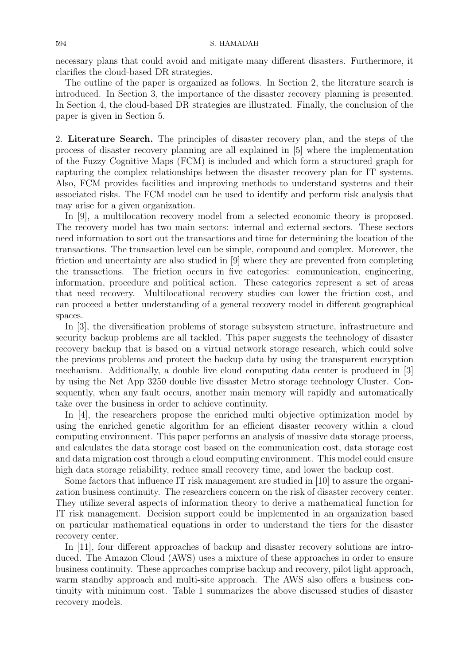necessary plans that could avoid and mitigate many different disasters. Furthermore, it clarifies the cloud-based DR strategies.

The outline of the paper is organized as follows. In Section 2, the literature search is introduced. In Section 3, the importance of the disaster recovery planning is presented. In Section 4, the cloud-based DR strategies are illustrated. Finally, the conclusion of the paper is given in Section 5.

2. **Literature Search.** The principles of disaster recovery plan, and the steps of the process of disaster recovery planning are all explained in [5] where the implementation of the Fuzzy Cognitive Maps (FCM) is included and which form a structured graph for capturing the complex relationships between the disaster recovery plan for IT systems. Also, FCM provides facilities and improving methods to understand systems and their associated risks. The FCM model can be used to identify and perform risk analysis that may arise for a given organization.

In [9], a multilocation recovery model from a selected economic theory is proposed. The recovery model has two main sectors: internal and external sectors. These sectors need information to sort out the transactions and time for determining the location of the transactions. The transaction level can be simple, compound and complex. Moreover, the friction and uncertainty are also studied in [9] where they are prevented from completing the transactions. The friction occurs in five categories: communication, engineering, information, procedure and political action. These categories represent a set of areas that need recovery. Multilocational recovery studies can lower the friction cost, and can proceed a better understanding of a general recovery model in different geographical spaces.

In [3], the diversification problems of storage subsystem structure, infrastructure and security backup problems are all tackled. This paper suggests the technology of disaster recovery backup that is based on a virtual network storage research, which could solve the previous problems and protect the backup data by using the transparent encryption mechanism. Additionally, a double live cloud computing data center is produced in [3] by using the Net App 3250 double live disaster Metro storage technology Cluster. Consequently, when any fault occurs, another main memory will rapidly and automatically take over the business in order to achieve continuity.

In [4], the researchers propose the enriched multi objective optimization model by using the enriched genetic algorithm for an efficient disaster recovery within a cloud computing environment. This paper performs an analysis of massive data storage process, and calculates the data storage cost based on the communication cost, data storage cost and data migration cost through a cloud computing environment. This model could ensure high data storage reliability, reduce small recovery time, and lower the backup cost.

Some factors that influence IT risk management are studied in [10] to assure the organization business continuity. The researchers concern on the risk of disaster recovery center. They utilize several aspects of information theory to derive a mathematical function for IT risk management. Decision support could be implemented in an organization based on particular mathematical equations in order to understand the tiers for the disaster recovery center.

In [11], four different approaches of backup and disaster recovery solutions are introduced. The Amazon Cloud (AWS) uses a mixture of these approaches in order to ensure business continuity. These approaches comprise backup and recovery, pilot light approach, warm standby approach and multi-site approach. The AWS also offers a business continuity with minimum cost. Table 1 summarizes the above discussed studies of disaster recovery models.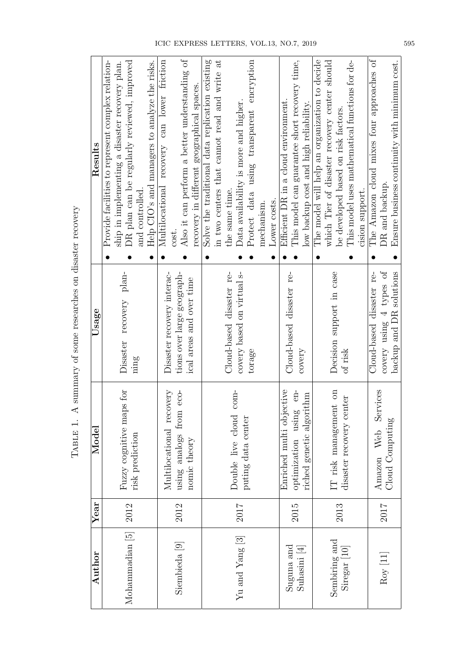| Author                                | Year   | Model                                                                               | Usage                                                                                | Results                                                                                                                                                                                                                               |
|---------------------------------------|--------|-------------------------------------------------------------------------------------|--------------------------------------------------------------------------------------|---------------------------------------------------------------------------------------------------------------------------------------------------------------------------------------------------------------------------------------|
| Mohammadian [5]                       | 2012   | Fuzzy cognitive maps for<br>risk prediction                                         | Disaster recovery plan-<br>nmg                                                       | Provide facilities to represent complex relation-<br>DR plan can be regularly reviewed, improved<br>Help CIO's and managers to analyze the risks.<br>ship in implementing a disaster recovery plan.<br>and controlled.                |
| Siembieda [9]                         | 2012   | Multilocational recovery<br>$eco-$<br>using analogs from<br>nomic theory            | Disaster recovery interac-<br>tions over large geograph-<br>ical areas and over time | Also it can perform a better understanding of<br>Multilocational recovery can lower friction<br>recovery in different geographical spaces<br>cost.                                                                                    |
| Yu and Yang [3]                       | 2017   | $com-$<br>Double live cloud<br>puting data center                                   | Cloud-based disaster re-<br>covery based on virtual s-<br>torage                     | Solve the traditional data replication existing<br>in two centers that cannot read and write at<br>Protect data using transparent encryption<br>Data availability is more and higher.<br>the same time.<br>Lower costs.<br>mechanism. |
| $S$ uguna and<br>$\text{Subasin}$ [4] | 2015   | Enriched multi objective<br>$en-$<br>riched genetic algorithm<br>optimization using | Cloud-based disaster re-<br>covery                                                   | This model can guarantee short recovery time,<br>Efficient DR in a cloud environment.<br>low backup cost and high reliability.                                                                                                        |
| Sembiring and<br>Siregar [10]         | 2013   | IT risk management on<br>disaster recovery center                                   | Decision support in case<br>of risk                                                  | The model will help an organization to decide<br>which Tier of disaster recovery center should<br>This model uses mathematical functions for de-<br>be developed based on risk factors.<br>cision support.                            |
| $\rm{Roy~[11]}$                       | $2017$ | Services<br>Cloud Computing<br>Amazon Web                                           | covery using 4 types of<br>backup and DR solutions<br>Cloud-based disaster re-       | The Amazon cloud mixes four approaches of<br>Ensure business continuity with minimum cost.<br>DR and backup                                                                                                                           |

| Categories of the concerned and concerned the content<br>j<br>į |
|-----------------------------------------------------------------|
| .<br>!<br>)                                                     |
|                                                                 |
| ו<br>ו                                                          |
|                                                                 |
| ĉ                                                               |
| $\frac{1}{2}$<br>j                                              |
| l                                                               |
|                                                                 |
| $\frac{1}{2}$<br>i<br>ا<br>I                                    |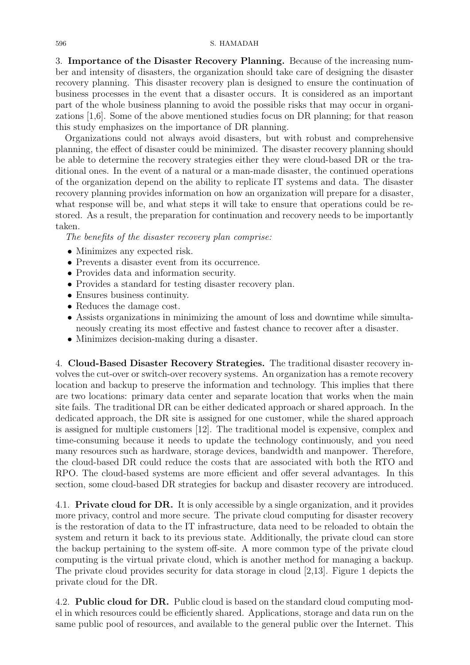3. **Importance of the Disaster Recovery Planning.** Because of the increasing number and intensity of disasters, the organization should take care of designing the disaster recovery planning. This disaster recovery plan is designed to ensure the continuation of business processes in the event that a disaster occurs. It is considered as an important part of the whole business planning to avoid the possible risks that may occur in organizations [1,6]. Some of the above mentioned studies focus on DR planning; for that reason this study emphasizes on the importance of DR planning.

Organizations could not always avoid disasters, but with robust and comprehensive planning, the effect of disaster could be minimized. The disaster recovery planning should be able to determine the recovery strategies either they were cloud-based DR or the traditional ones. In the event of a natural or a man-made disaster, the continued operations of the organization depend on the ability to replicate IT systems and data. The disaster recovery planning provides information on how an organization will prepare for a disaster, what response will be, and what steps it will take to ensure that operations could be restored. As a result, the preparation for continuation and recovery needs to be importantly taken.

*The benefits of the disaster recovery plan comprise:*

- Minimizes any expected risk.
- Prevents a disaster event from its occurrence.
- *•* Provides data and information security.
- Provides a standard for testing disaster recovery plan.
- *•* Ensures business continuity.
- *•* Reduces the damage cost.
- *•* Assists organizations in minimizing the amount of loss and downtime while simultaneously creating its most effective and fastest chance to recover after a disaster.
- Minimizes decision-making during a disaster.

4. **Cloud-Based Disaster Recovery Strategies.** The traditional disaster recovery involves the cut-over or switch-over recovery systems. An organization has a remote recovery location and backup to preserve the information and technology. This implies that there are two locations: primary data center and separate location that works when the main site fails. The traditional DR can be either dedicated approach or shared approach. In the dedicated approach, the DR site is assigned for one customer, while the shared approach is assigned for multiple customers [12]. The traditional model is expensive, complex and time-consuming because it needs to update the technology continuously, and you need many resources such as hardware, storage devices, bandwidth and manpower. Therefore, the cloud-based DR could reduce the costs that are associated with both the RTO and RPO. The cloud-based systems are more efficient and offer several advantages. In this section, some cloud-based DR strategies for backup and disaster recovery are introduced.

4.1. **Private cloud for DR.** It is only accessible by a single organization, and it provides more privacy, control and more secure. The private cloud computing for disaster recovery is the restoration of data to the IT infrastructure, data need to be reloaded to obtain the system and return it back to its previous state. Additionally, the private cloud can store the backup pertaining to the system off-site. A more common type of the private cloud computing is the virtual private cloud, which is another method for managing a backup. The private cloud provides security for data storage in cloud [2,13]. Figure 1 depicts the private cloud for the DR.

4.2. **Public cloud for DR.** Public cloud is based on the standard cloud computing model in which resources could be efficiently shared. Applications, storage and data run on the same public pool of resources, and available to the general public over the Internet. This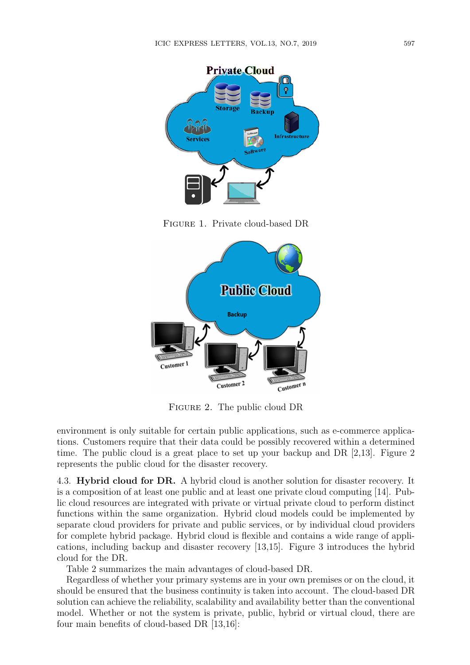



FIGURE 2. The public cloud DR

environment is only suitable for certain public applications, such as e-commerce applications. Customers require that their data could be possibly recovered within a determined time. The public cloud is a great place to set up your backup and DR [2,13]. Figure 2 represents the public cloud for the disaster recovery.

4.3. **Hybrid cloud for DR.** A hybrid cloud is another solution for disaster recovery. It is a composition of at least one public and at least one private cloud computing [14]. Public cloud resources are integrated with private or virtual private cloud to perform distinct functions within the same organization. Hybrid cloud models could be implemented by separate cloud providers for private and public services, or by individual cloud providers for complete hybrid package. Hybrid cloud is flexible and contains a wide range of applications, including backup and disaster recovery [13,15]. Figure 3 introduces the hybrid cloud for the DR.

Table 2 summarizes the main advantages of cloud-based DR.

Regardless of whether your primary systems are in your own premises or on the cloud, it should be ensured that the business continuity is taken into account. The cloud-based DR solution can achieve the reliability, scalability and availability better than the conventional model. Whether or not the system is private, public, hybrid or virtual cloud, there are four main benefits of cloud-based DR [13,16]: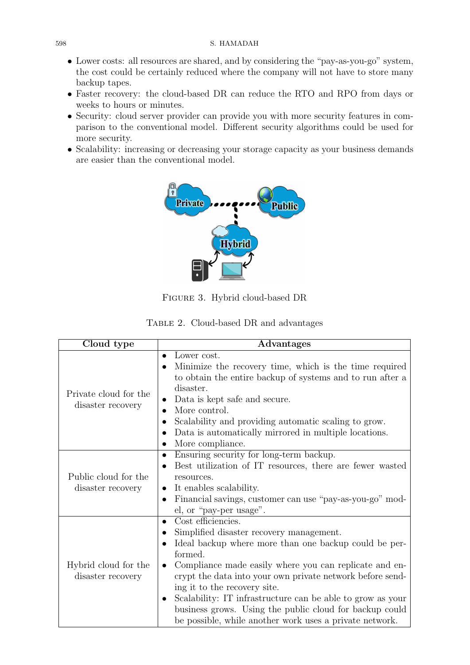- Lower costs: all resources are shared, and by considering the "pay-as-you-go" system, the cost could be certainly reduced where the company will not have to store many backup tapes.
- *•* Faster recovery: the cloud-based DR can reduce the RTO and RPO from days or weeks to hours or minutes.
- Security: cloud server provider can provide you with more security features in comparison to the conventional model. Different security algorithms could be used for more security.
- *•* Scalability: increasing or decreasing your storage capacity as your business demands are easier than the conventional model.



Figure 3. Hybrid cloud-based DR

|  | TABLE 2. Cloud-based DR and advantages |  |
|--|----------------------------------------|--|
|--|----------------------------------------|--|

| Cloud type                                 | Advantages                                                                                                                                                                                                                                                                                                                                                                                                                                                                                                                        |
|--------------------------------------------|-----------------------------------------------------------------------------------------------------------------------------------------------------------------------------------------------------------------------------------------------------------------------------------------------------------------------------------------------------------------------------------------------------------------------------------------------------------------------------------------------------------------------------------|
| Private cloud for the<br>disaster recovery | Lower cost.<br>$\bullet$<br>Minimize the recovery time, which is the time required<br>to obtain the entire backup of systems and to run after a<br>disaster.<br>Data is kept safe and secure.<br>$\bullet$<br>More control.<br>Scalability and providing automatic scaling to grow.<br>Data is automatically mirrored in multiple locations.<br>$\bullet$<br>More compliance.<br>$\bullet$                                                                                                                                        |
| Public cloud for the<br>disaster recovery  | Ensuring security for long-term backup.<br>$\bullet$<br>Best utilization of IT resources, there are fewer wasted<br>$\bullet$<br>resources.<br>It enables scalability.<br>$\bullet$<br>Financial savings, customer can use "pay-as-you-go" mod-<br>$\bullet$<br>el, or "pay-per usage".                                                                                                                                                                                                                                           |
| Hybrid cloud for the<br>disaster recovery  | Cost efficiencies.<br>$\bullet$<br>Simplified disaster recovery management.<br>$\bullet$<br>Ideal backup where more than one backup could be per-<br>formed.<br>Compliance made easily where you can replicate and en-<br>$\bullet$<br>crypt the data into your own private network before send-<br>ing it to the recovery site.<br>Scalability: IT infrastructure can be able to grow as your<br>$\bullet$<br>business grows. Using the public cloud for backup could<br>be possible, while another work uses a private network. |